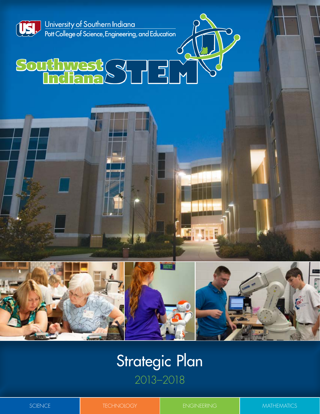

University of Southern Indiana Pott College of Science, Engineering, and Education

# Southwest SUED



# Strategic Plan 2013–2018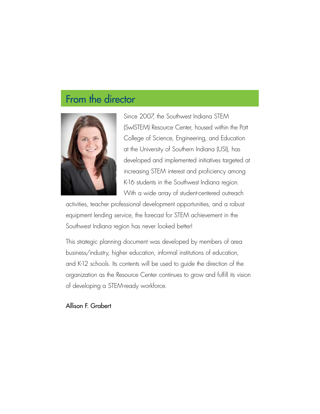# From the director



Since 2007, the Southwest Indiana STEM (SwISTEM) Resource Center, housed within the Pott College of Science, Engineering, and Education at the University of Southern Indiana (USI), has developed and implemented initiatives targeted at increasing STEM interest and proficiency among K-16 students in the Southwest Indiana region. With a wide array of student-centered outreach

activities, teacher professional development opportunities, and a robust equipment lending service, the forecast for STEM achievement in the Southwest Indiana region has never looked better!

This strategic planning document was developed by members of area business/industry, higher education, informal institutions of education, and K-12 schools. Its contents will be used to guide the direction of the organization as the Resource Center continues to grow and fulfill its vision of developing a STEM-ready workforce.

#### Allison F. Grabert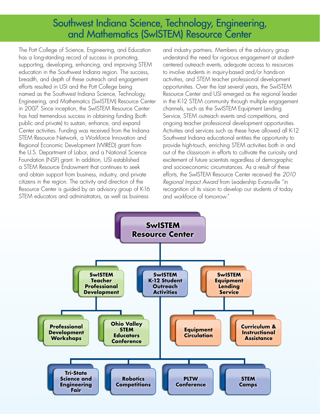### Southwest Indiana Science, Technology, Engineering, and Mathematics (SwISTEM) Resource Center

The Pott College of Science, Engineering, and Education has a long-standing record of success in promoting, supporting, developing, enhancing, and improving STEM education in the Southwest Indiana region. The success, breadth, and depth of these outreach and engagement efforts resulted in USI and the Pott College being named as the Southwest Indiana Science, Technology, Engineering, and Mathematics (SwISTEM) Resource Center in 2007. Since inception, the SwISTEM Resource Center has had tremendous success in obtaining funding (both public and private) to sustain, enhance, and expand Center activities. Funding was received from the Indiana STEM Resource Network, a Workforce Innovation and Regional Economic Development (WIRED) grant from the U.S. Department of Labor, and a National Science Foundation (NSF) grant. In addition, USI established a STEM Resource Endowment that continues to seek and obtain support from business, industry, and private citizens in the region. The activity and direction of the Resource Center is guided by an advisory group of K-16 STEM educators and administrators, as well as business

and industry partners. Members of the advisory group understand the need for rigorous engagement at studentcentered outreach events, adequate access to resources to involve students in inquiry-based and/or hands-on activities, and STEM teacher professional development opportunities. Over the last several years, the SwISTEM Resource Center and USI emerged as the regional leader in the K-12 STEM community through multiple engagement channels, such as the SwISTEM Equipment Lending Service, STEM outreach events and competitions, and ongoing teacher professional development opportunities. Activities and services such as these have allowed all K-12 Southwest Indiana educational entities the opportunity to provide high-touch, enriching STEM activities both in and out of the classroom in efforts to cultivate the curiosity and excitement of future scientists regardless of demographic and socioeconomic circumstances. As a result of these efforts, the SwISTEM Resource Center received the *2010 Regional Impact Award* from Leadership Evansville "in recognition of its vision to develop our students of today and workforce of tomorrow."

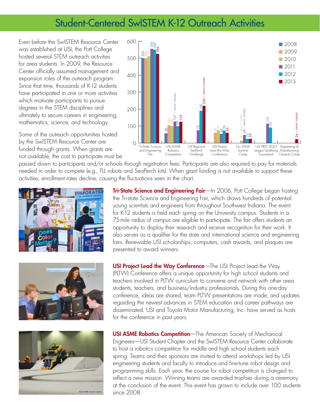### Student-Centered SwISTEM K-12 Outreach Activities

Even before the SwISTEM Resource Center was established at USI, the Pott College hosted several STEM outreach activities for area students. In 2009, the Resource Center officially assumed management and expansion roles of the outreach program. Since that time, thousands of K-12 students have participated in one or more activities which motivate participants to pursue degrees in the STEM disciplines and ultimately to secure careers in engineering, mathematics, science, and technology.

Some of the outreach opportunities hosted by the SwISTEM Resource Center are funded through grants. When grants are not available, the cost to participate must be



passed down to participants and/or schools through registration fees. Participants are also required to pay for materials needed in order to compete (e.g., FLL robots and SeaPerch kits). When grant funding is not available to support these activities, enrollment rates decline, causing the fluctuations seen in the chart.







**Tri-State Science and Engineering Fair**—In 2006, Pott College began hosting the Tri-state Science and Engineering Fair, which draws hundreds of potential young scientists and engineers from throughout Southwest Indiana. The event for K-12 students is held each spring on the University campus. Students in a 75-mile radius of campus are eligible to participate. The fair offers students an opportunity to display their research and receive recognition for their work. It also serves as a qualifier for the state and international science and engineering fairs. Renewable USI scholarships, computers, cash awards, and plaques are presented to award winners.

**USI Project Lead the Way Conference**—The USI Project Lead the Way (PLTW) Conference offers a unique opportunity for high school students and teachers involved in PLTW curriculum to convene and network with other area students, teachers, and business/industry professionals. During this one-day conference, ideas are shared, team PLTW presentations are made, and updates regarding the newest advances in STEM education and career pathways are disseminated. USI and Toyota Motor Manufacturing, Inc. have served as hosts for the conference in past years.

**USI ASME Robotics Competition**—The American Society of Mechanical Engineers—USI Student Chapter and the SwISTEM Resource Center collaborate to host a robotics competition for middle and high school students each spring. Teams and their sponsors are invited to attend workshops led by USI engineering students and faculty to introduce and fine-tune robot design and programming skills. Each year, the course for robot competition is changed to reflect a new mission. Winning teams are awarded trophies during a ceremony at the conclusion of the event. This event has grown to include over 100 students since 2008.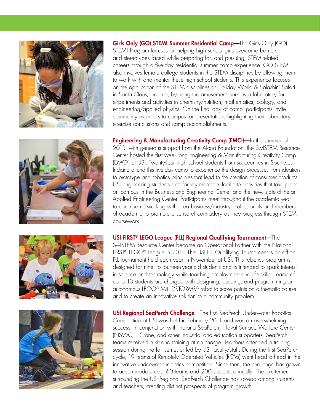







Girls Only (GO) STEM! Summer Residential Camp-The Girls Only (GO) STEM! Program focuses on helping high school girls overcome barriers and stereotypes faced while preparing for, and pursuing, STEM-related careers through a five-day residential summer camp experience. GO STEM! also involves female college students in the STEM disciplines by allowing them to work with and mentor these high school students. This experience focuses on the application of the STEM disciplines at Holiday World & Splashin' Safari in Santa Claus, Indiana, by using the amusement park as a laboratory for experiments and activities in chemistry/nutrition, mathematics, biology, and engineering/applied physics. On the final day of camp, participants invite community members to campus for presentations highlighting their laboratory exercise conclusions and camp accomplishments.

**Engineering & Manufacturing Creativity Camp (EMC2)**—In the summer of 2013, with generous support from the Alcoa Foundation, the SwISTEM Resource Center hosted the first week-long Engineering & Manufacturing Creativity Camp (EMC2) at USI. Twenty-four high school students from six counties in Southwest Indiana attend this five-day camp to experience the design processes from ideation to prototype and robotics principles that lead to the creation of consumer products. USI engineering students and faculty members facilitate activities that take place on campus in the Business and Engineering Center and the new, state-of-the-art Applied Engineering Center. Participants meet throughout the academic year to continue networking with area business/industry professionals and members of academia to promote a sense of comradery as they progress through STEM coursework.

#### USI FIRST® LEGO League (FLL) Regional Qualifying Tournament—The

SwISTEM Resource Center became an Operational Partner with the National FIRST® LEGO® League in 2011. The USI FLL Qualifying Tournament is an official FLL tournament held each year in November at USI. This robotics program is designed for nine- to fourteen-year-old students and is intended to spark interest in science and technology while teaching employment and life skills. Teams of up to 10 students are charged with designing, building, and programming an autonomous LEGO® MINDSTORMS® robot to score points on a thematic course and to create an innovative solution to a community problem.

**USI Regional SeaPerch Challenge**—The first SeaPerch Underwater Robotics Competition at USI was held in February 2011 and was an overwhelming success. In conjunction with Indiana SeaPerch, Naval Surface Warfare Center (NSWC)—Crane, and other industrial and education supporters, SeaPerch teams received a kit and training at no charge. Teachers attended a training session during the fall semester led by USI faculty/staff. During the first SeaPerch cycle, 19 teams of Remotely Operated Vehicles (ROVs) went head-to-head in the innovative underwater robotics competition. Since then, the challenge has grown to accommodate over 60 teams and 200 students annually. The excitement surrounding the USI Regional SeaPerch Challenge has spread among students and teachers, creating distinct prospects of program growth.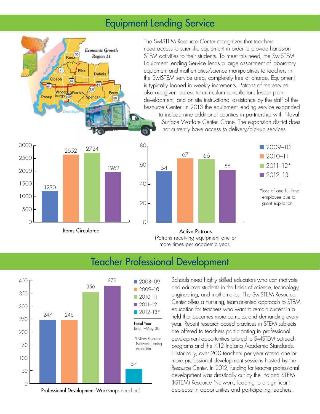### Equipment Lending Service



The SwISTEM Resource Center recognizes that teachers need access to scientific equipment in order to provide hands-on STEM activities to their students. To meet this need, the SwISTEM Equipment Lending Service lends a large assortment of laboratory equipment and mathematics/science manipulatives to teachers in the SwISTEM service area, completely free of charge. Equipment is typically loaned in weekly increments. Patrons of the service also are given access to curriculum consultation, lesson plan development, and on-site instructional assistance by the staff of the Resource Center. In 2013 the equipment lending service expanded to include nine additional counties in partnership with Naval Surface Warfare Center–Crane. The expansion district does not currently have access to delivery/pick-up services.





(Patrons receiving equipment one or more times per academic year.)

## Teacher Professional Development



Professional Development Workshops (teachers)

Schools need highly skilled educators who can motivate and educate students in the fields of science, technology, engineering, and mathematics. The SwISTEM Resource Center offers a nurturing, team-oriented approach to STEM education for teachers who want to remain current in a field that becomes more complex and demanding every year. Recent research-based practices in STEM subjects are offered to teachers participating in professional development opportunities tailored to SwISTEM outreach programs and the K-12 Indiana Academic Standards. Historically, over 200 teachers per year attend one or more professional development sessions hosted by the Resource Center. In 2012, funding for teacher professional development was drastically cut by the Indiana STEM (I-STEM) Resource Network, leading to a significant decrease in opportunities and participating teachers.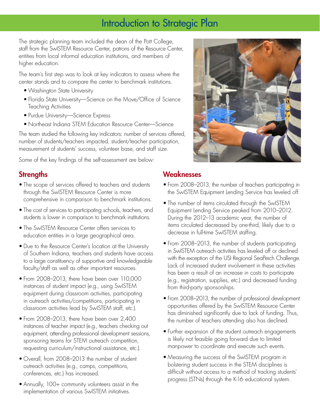### Introduction to Strategic Plan

The strategic planning team included the dean of the Pott College, staff from the SwISTEM Resource Center, patrons of the Resource Center, entities from local informal education institutions, and members of higher education.

The team's first step was to look at key indicators to assess where the center stands and to compare the center to benchmark institutions.

- Washington State University
- Florida State University—Science on the Move/Office of Science Teaching Activities
- Purdue University—Science Express
- Northeast Indiana STEM Education Resource Center—Science

The team studied the following key indicators: number of services offered, number of students/teachers impacted, student/teacher participation, measurement of students' success, volunteer base, and staff size.

Some of the key findings of the self-assessment are below:

#### **Strengths**

- The scope of services offered to teachers and students through the SwISTEM Resource Center is more comprehensive in comparison to benchmark institutions.
- The cost of services to participating schools, teachers, and students is lower in comparison to benchmark institutions.
- The SwISTEM Resource Center offers services to education entities in a large geographical area.
- Due to the Resource Center's location at the University of Southern Indiana, teachers and students have access to a large constituency of supportive and knowledgeable faculty/staff as well as other important resources.
- From 2008–2013, there have been over 110,000 instances of student impact (e.g., using SwISTEM equipment during classroom activities, participating in outreach activities/competitions, participating in classroom activities lead by SwISTEM staff, etc.).
- From 2008–2013, there have been over 2,400 instances of teacher impact (e.g., teachers checking out equipment, attending professional development sessions, sponsoring teams for STEM outreach competition, requesting curriculum/instructional assistance, etc.).
- Overall, from 2008–2013 the number of student outreach activities (e.g., camps, competitions, conferences, etc.) has increased.
- Annually, 100+ community volunteers assist in the implementation of various SwISTEM initiatives.



#### Weaknesses

- From 2008–2013, the number of teachers participating in the SwISTEM Equipment Lending Service has leveled off.
- The number of items circulated through the SwISTEM Equipment Lending Service peaked from 2010–2012. During the 2012–13 academic year, the number of items circulated decreased by one-third, likely due to a decrease in full-time SwISTEM staffing.
- From 2008–2013, the number of students participating in SwISTEM outreach activities has leveled off or declined with the exception of the USI Regional SeaPerch Challenge. Lack of increased student involvement in these activities has been a result of an increase in costs to participate (e.g., registration, supplies, etc.) and decreased funding from third-party sponsorships.
- From 2008–2013, the number of professional development opportunities offered by the SwISTEM Resource Center has diminished significantly due to lack of funding. Thus, the number of teachers attending also has declined.
- Further expansion of the student outreach engagements is likely not feasible going forward due to limited manpower to coordinate and execute such events.
- Measuring the success of the SwISTEM program in bolstering student success in the STEM disciplines is difficult without access to a method of tracking students' progress (STNs) through the K-16 educational system.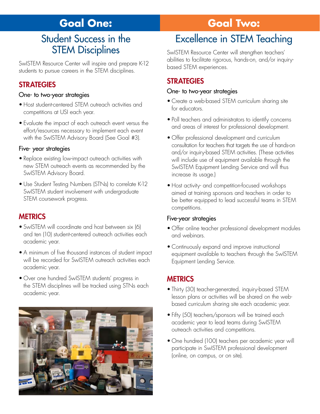# **Goal One:**

### Student Success in the STEM Disciplines

SwISTEM Resource Center will inspire and prepare K-12 students to pursue careers in the STEM disciplines.

#### **STRATEGIES**

#### One- to two-year strategies

- Host student-centered STEM outreach activities and competitions at USI each year.
- Evaluate the impact of each outreach event versus the effort/resources necessary to implement each event with the SwISTEM Advisory Board (See Goal #3).

#### Five- year strategies

- Replace existing low-impact outreach activities with new STEM outreach events as recommended by the SwISTEM Advisory Board.
- Use Student Testing Numbers (STNs) to correlate K-12 SwISTEM student involvement with undergraduate STEM coursework progress.

#### **MFTRICS**

- SwISTEM will coordinate and host between six (6) and ten (10) student-centered outreach activities each academic year.
- A minimum of five thousand instances of student impact will be recorded for SwISTEM outreach activities each academic year.
- Over one hundred SwISTEM students' progress in the STEM disciplines will be tracked using STNs each academic year.



# **Goal Two:**

# Excellence in STEM Teaching

SwISTEM Resource Center will strengthen teachers' abilities to facilitate rigorous, hands-on, and/or inquirybased STEM experiences.

#### **STRATEGIES**

#### One- to two-year strategies

- Create a web-based STEM curriculum sharing site for educators.
- Poll teachers and administrators to identify concerns and areas of interest for professional development.
- Offer professional development and curriculum consultation for teachers that targets the use of hands-on and/or inquiry-based STEM activities. (These activities will include use of equipment available through the SwISTEM Equipment Lending Service and will thus increase its usage.)
- Host activity- and competition-focused workshops aimed at training sponsors and teachers in order to be better equipped to lead successful teams in STEM competitions.

#### Five-year strategies

- Offer online teacher professional development modules and webinars.
- Continuously expand and improve instructional equipment available to teachers through the SwISTEM Equipment Lending Service.

#### **METRICS**

- Thirty (30) teacher-generated, inquiry-based STEM lesson plans or activities will be shared on the webbased curriculum sharing site each academic year.
- Fifty (50) teachers/sponsors will be trained each academic year to lead teams during SwISTEM outreach activities and competitions.
- One hundred (100) teachers per academic year will participate in SwISTEM professional development (online, on campus, or on site).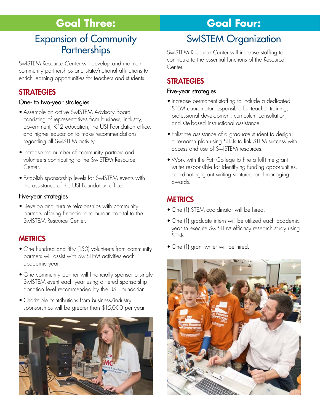# **Goal Three:**

### Expansion of Community **Partnerships**

SwISTEM Resource Center will develop and maintain community partnerships and state/national affiliations to enrich learning opportunities for teachers and students.

#### **STRATEGIES**

#### One- to two-year strategies

- Assemble an active SwISTEM Advisory Board consisting of representatives from business, industry, government, K-12 education, the USI Foundation office, and higher education to make recommendations regarding all SwISTEM activity.
- Increase the number of community partners and volunteers contributing to the SwISTEM Resource Center.
- Establish sponsorship levels for SwISTEM events with the assistance of the USI Foundation office.

#### Five-year strategies

• Develop and nurture relationships with community partners offering financial and human capital to the SwISTEM Resource Center.

#### **METRICS**

- One hundred and fifty (150) volunteers from community partners will assist with SwISTEM activities each academic year.
- One community partner will financially sponsor a single SwISTEM event each year using a tiered sponsorship donation level recommended by the USI Foundation.
- Charitable contributions from business/industry sponsorships will be greater than \$15,000 per year.



# **Goal Four:**

# SwISTEM Organization

SwISTEM Resource Center will increase staffing to contribute to the essential functions of the Resource Center.

#### **STRATEGIES**

#### Five-year strategies

- Increase permanent staffing to include a dedicated STEM coordinator responsible for teacher training, professional development, curriculum consultation, and site-based instructional assistance.
- Enlist the assistance of a graduate student to design a research plan using STNs to link STEM success with access and use of SwISTEM resources.
- Work with the Pott College to hire a full-time grant writer responsible for identifying funding opportunities, coordinating grant writing ventures, and managing awards.

#### **METRICS**

- One (1) STEM coordinator will be hired.
- One (1) graduate intern will be utilized each academic year to execute SwISTEM efficacy research study using STNs.
- One (1) grant writer will be hired.

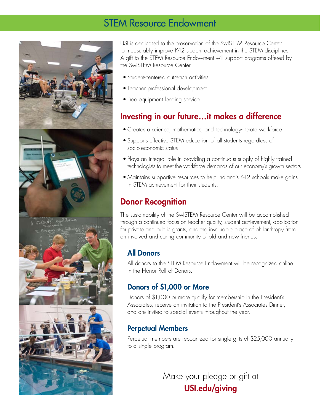### STEM Resource Endowment





USI is dedicated to the preservation of the SwISTEM Resource Center to measurably improve K-12 student achievement in the STEM disciplines. A gift to the STEM Resource Endowment will support programs offered by the SwISTEM Resource Center.

- Student-centered outreach activities
- Teacher professional development
- Free equipment lending service

### Investing in our future…it makes a difference

- Creates a science, mathematics, and technology-literate workforce
- Supports effective STEM education of all students regardless of socio-economic status
- Plays an integral role in providing a continuous supply of highly trained technologists to meet the workforce demands of our economy's growth sectors
- Maintains supportive resources to help Indiana's K-12 schools make gains in STEM achievement for their students.

### Donor Recognition

The sustainability of the SwISTEM Resource Center will be accomplished through a continued focus on teacher quality, student achievement, application for private and public grants, and the invaluable place of philanthropy from an involved and caring community of old and new friends.

### All Donors

All donors to the STEM Resource Endowment will be recognized online in the Honor Roll of Donors.

#### Donors of \$1,000 or More

Donors of \$1,000 or more qualify for membership in the President's Associates, receive an invitation to the President's Associates Dinner, and are invited to special events throughout the year.

### Perpetual Members

Perpetual members are recognized for single gifts of \$25,000 annually to a single program.

> Make your pledge or gift at USI.edu/giving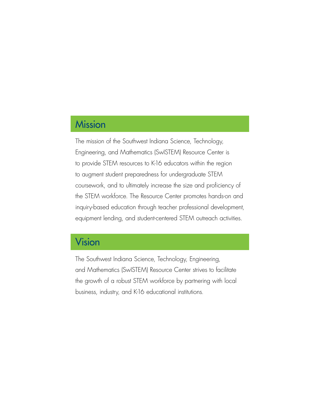### **Mission**

The mission of the Southwest Indiana Science, Technology, Engineering, and Mathematics (SwISTEM) Resource Center is to provide STEM resources to K-16 educators within the region to augment student preparedness for undergraduate STEM coursework, and to ultimately increase the size and proficiency of the STEM workforce. The Resource Center promotes hands-on and inquiry-based education through teacher professional development, equipment lending, and student-centered STEM outreach activities.

## Vision

The Southwest Indiana Science, Technology, Engineering, and Mathematics (SwISTEM) Resource Center strives to facilitate the growth of a robust STEM workforce by partnering with local business, industry, and K-16 educational institutions.